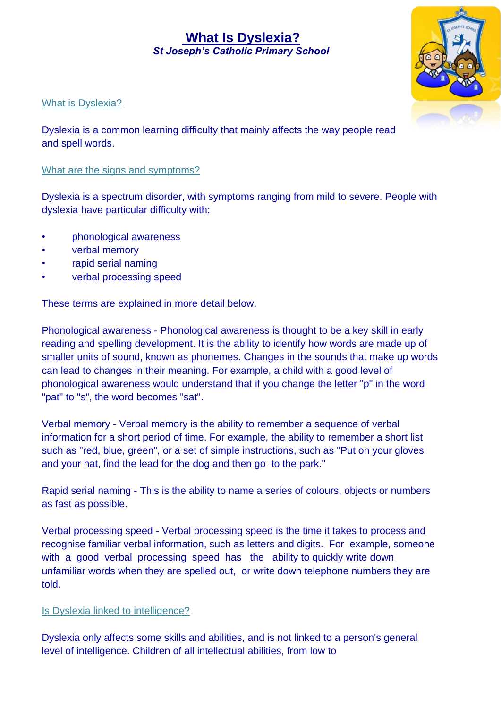# **What Is Dyslexia?**  *St Joseph's Catholic Primary School*



### What is Dyslexia?

Dyslexia is a common learning difficulty that mainly affects the way people read and spell words.

#### What are the signs and symptoms?

Dyslexia is a spectrum disorder, with symptoms ranging from mild to severe. People with dyslexia have particular difficulty with:

- phonological awareness
- verbal memory
- rapid serial naming
- verbal processing speed

These terms are explained in more detail below.

Phonological awareness - Phonological awareness is thought to be a key skill in early reading and spelling development. It is the ability to identify how words are made up of smaller units of sound, known as phonemes. Changes in the sounds that make up words can lead to changes in their meaning. For example, a child with a good level of phonological awareness would understand that if you change the letter "p" in the word "pat" to "s", the word becomes "sat".

Verbal memory - Verbal memory is the ability to remember a sequence of verbal information for a short period of time. For example, the ability to remember a short list such as "red, blue, green", or a set of simple instructions, such as "Put on your gloves and your hat, find the lead for the dog and then go to the park."

Rapid serial naming - This is the ability to name a series of colours, objects or numbers as fast as possible.

Verbal processing speed - Verbal processing speed is the time it takes to process and recognise familiar verbal information, such as letters and digits. For example, someone with a good verbal processing speed has the ability to quickly write down unfamiliar words when they are spelled out, or write down telephone numbers they are told.

## Is Dyslexia linked to intelligence?

Dyslexia only affects some skills and abilities, and is not linked to a person's general level of intelligence. Children of all intellectual abilities, from low to